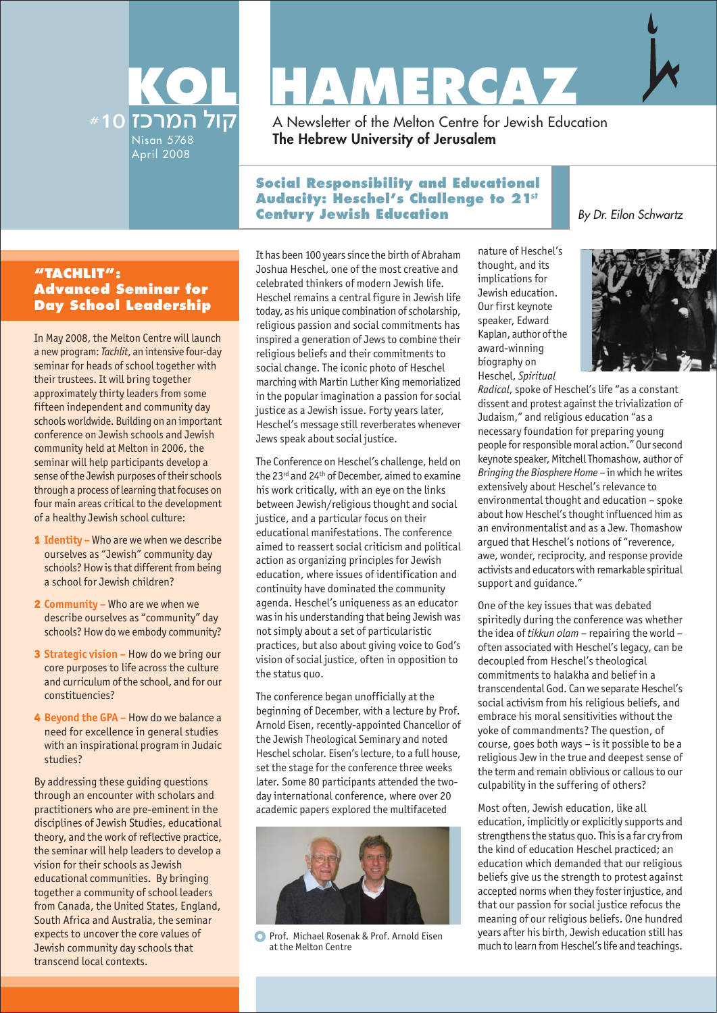

# **KOL HAMERCAY**

A Newsletter of the Melton Centre for Jewish Education **The Hebrew University of Jerusalem**

## **Social Responsibility and Educational Audacity: Heschel's Challenge to 21st Century Jewish Education**

## **"TACHLIT": Advanced Seminar for Day School Leadership**

In May 2008, the Melton Centre will launch a new program: *Tachlit*, an intensive four-day seminar for heads of school together with their trustees. It will bring together approximately thirty leaders from some fifteen independent and community day schools worldwide. Building on an important conference on Jewish schools and Jewish community held at Melton in 2006, the seminar will help participants develop a sense of the Jewish purposes of their schools through a process of learning that focuses on four main areas critical to the development of a healthy Jewish school culture:

- 1 **Identity** Who are we when we describe ourselves as "Jewish" community day schools? How is that different from being a school for Jewish children?
- 2 **Community –** Who are we when we describe ourselves as "community" day schools? How do we embody community?
- 3 **Strategic vision –** How do we bring our core purposes to life across the culture and curriculum of the school, and for our constituencies?
- 4 **Beyond the GPA –** How do we balance a need for excellence in general studies with an inspirational program in Judaic studies?

By addressing these guiding questions through an encounter with scholars and practitioners who are pre-eminent in the disciplines of Jewish Studies, educational theory, and the work of reflective practice, the seminar will help leaders to develop a vision for their schools as Jewish educational communities. By bringing together a community of school leaders from Canada, the United States, England, South Africa and Australia, the seminar expects to uncover the core values of Jewish community day schools that transcend local contexts.

It has been 100 years since the birth of Abraham Joshua Heschel, one of the most creative and celebrated thinkers of modern Jewish life. Heschel remains a central figure in Jewish life today, as his unique combination of scholarship, religious passion and social commitments has inspired a generation of Jews to combine their religious beliefs and their commitments to social change. The iconic photo of Heschel marching with Martin Luther King memorialized in the popular imagination a passion for social justice as a Jewish issue. Forty years later, Heschel's message still reverberates whenever Jews speak about social justice.

The Conference on Heschel's challenge, held on the 23<sup>rd</sup> and 24<sup>th</sup> of December, aimed to examine his work critically, with an eye on the links between Jewish/religious thought and social justice, and a particular focus on their educational manifestations. The conference aimed to reassert social criticism and political action as organizing principles for Jewish education, where issues of identification and continuity have dominated the community agenda. Heschel's uniqueness as an educator was in his understanding that being Jewish was not simply about a set of particularistic practices, but also about giving voice to God's vision of social justice, often in opposition to the status quo.

The conference began unofficially at the beginning of December, with a lecture by Prof. Arnold Eisen, recently-appointed Chancellor of the Jewish Theological Seminary and noted Heschel scholar. Eisen's lecture, to a full house, set the stage for the conference three weeks later. Some 80 participants attended the twoday international conference, where over 20 academic papers explored the multifaceted



**O** Prof. Michael Rosenak & Prof. Arnold Eisen at the Melton Centre

nature of Heschel's thought, and its implications for Jewish education. Our first keynote speaker, Edward Kaplan, author of the award-winning biography on Heschel, *Spiritual*



By Dr. Eilon Schwartz

*Radical*, spoke of Heschel's life "as a constant dissent and protest against the trivialization of Judaism," and religious education "as a necessary foundation for preparing young people for responsible moral action." Our second keynote speaker, Mitchell Thomashow, author of *Bringing the Biosphere Home* – in which he writes extensively about Heschel's relevance to environmental thought and education – spoke about how Heschel's thought influenced him as an environmentalist and as a Jew. Thomashow argued that Heschel's notions of "reverence, awe, wonder, reciprocity, and response provide activists and educators with remarkable spiritual support and guidance."

One of the key issues that was debated spiritedly during the conference was whether the idea of *tikkun olam* – repairing the world – often associated with Heschel's legacy, can be decoupled from Heschel's theological commitments to halakha and belief in a transcendental God. Can we separate Heschel's social activism from his religious beliefs, and embrace his moral sensitivities without the yoke of commandments? The question, of course, goes both ways – is it possible to be a religious Jew in the true and deepest sense of the term and remain oblivious or callous to our culpability in the suffering of others?

Most often, Jewish education, like all education, implicitly or explicitly supports and strengthens the status quo. This is a far cry from the kind of education Heschel practiced; an education which demanded that our religious beliefs give us the strength to protest against accepted norms when they foster injustice, and that our passion for social justice refocus the meaning of our religious beliefs. One hundred years after his birth, Jewish education still has much to learn from Heschel's life and teachings.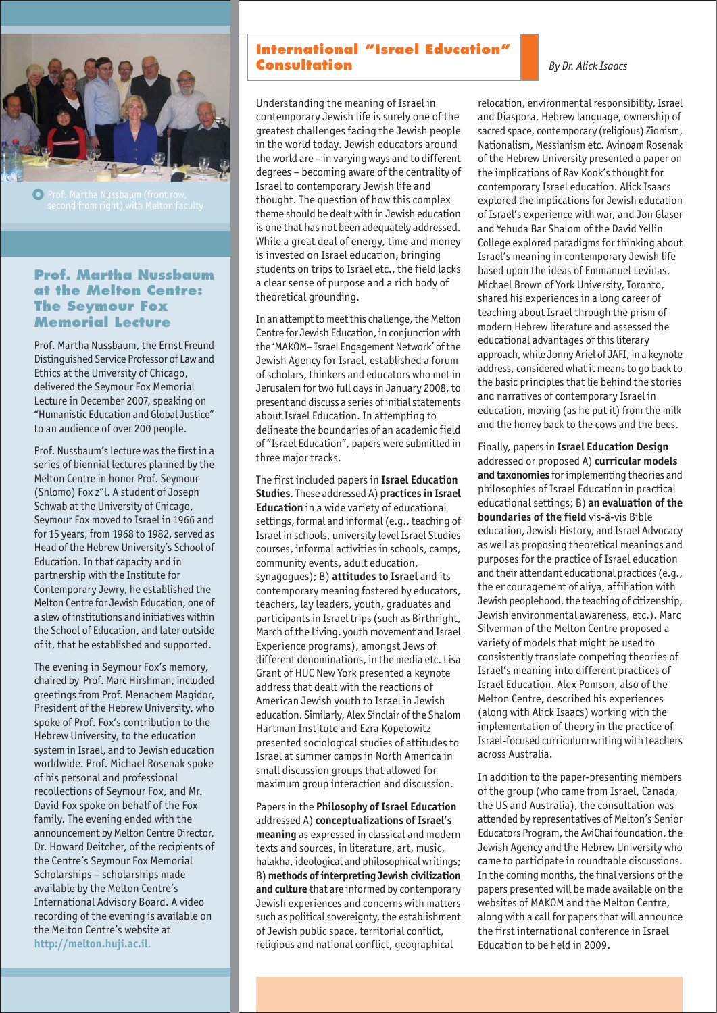

## **Prof. Martha Nussbaum at the Melton Centre: The Seymour Fox Memorial Lecture**

Prof. Martha Nussbaum, the Ernst Freund Distinguished Service Professor of Law and Ethics at the University of Chicago, delivered the Seymour Fox Memorial Lecture in December 2007, speaking on "Humanistic Education and Global Justice" to an audience of over 200 people.

Prof. Nussbaum's lecture was the first in a series of biennial lectures planned by the Melton Centre in honor Prof. Seymour (Shlomo) Fox z"l. A student of Joseph Schwab at the University of Chicago, Seymour Fox moved to Israel in 1966 and for 15 years, from 1968 to 1982, served as Head of the Hebrew University's School of Education. In that capacity and in partnership with the Institute for Contemporary Jewry, he established the Melton Centre for Jewish Education, one of a slew of institutions and initiatives within the School of Education, and later outside of it, that he established and supported.

The evening in Seymour Fox's memory, chaired by Prof. Marc Hirshman, included greetings from Prof. Menachem Magidor, President of the Hebrew University, who spoke of Prof. Fox's contribution to the Hebrew University, to the education system in Israel, and to Jewish education worldwide. Prof. Michael Rosenak spoke of his personal and professional recollections of Seymour Fox, and Mr. David Fox spoke on behalf of the Fox family. The evening ended with the announcement by Melton Centre Director, Dr. Howard Deitcher, of the recipients of the Centre's Seymour Fox Memorial Scholarships – scholarships made available by the Melton Centre's International Advisory Board. A video recording of the evening is available on the Melton Centre's website at **http://melton.huji.ac.il**.

## **International "Israel Education" Consultation**

Understanding the meaning of Israel in contemporary Jewish life is surely one of the greatest challenges facing the Jewish people in the world today. Jewish educators around the world are – in varying ways and to different degrees – becoming aware of the centrality of Israel to contemporary Jewish life and thought. The question of how this complex theme should be dealt with in Jewish education is one that has not been adequately addressed. While a great deal of energy, time and money is invested on Israel education, bringing students on trips to Israel etc., the field lacks a clear sense of purpose and a rich body of theoretical grounding.

In an attempt to meet this challenge, the Melton Centre for Jewish Education, in conjunction with the 'MAKOM– Israel Engagement Network' of the Jewish Agency for Israel, established a forum of scholars, thinkers and educators who met in Jerusalem for two full days in January 2008, to present and discuss a series of initial statements about Israel Education. In attempting to delineate the boundaries of an academic field of "Israel Education", papers were submitted in three major tracks.

The first included papers in **Israel Education Studies**. These addressed A) **practices in Israel Education** in a wide variety of educational settings, formal and informal (e.g., teaching of Israel in schools, university level Israel Studies courses, informal activities in schools, camps, community events, adult education, synagogues); B) **attitudes to Israel** and its contemporary meaning fostered by educators, teachers, lay leaders, youth, graduates and participants in Israel trips (such as Birthright, March of the Living, youth movement and Israel Experience programs), amongst Jews of different denominations, in the media etc. Lisa Grant of HUC New York presented a keynote address that dealt with the reactions of American Jewish youth to Israel in Jewish education. Similarly, Alex Sinclair of the Shalom Hartman Institute and Ezra Kopelowitz presented sociological studies of attitudes to Israel at summer camps in North America in small discussion groups that allowed for maximum group interaction and discussion.

Papers in the **Philosophy of Israel Education** addressed A) **conceptualizations of Israel's meaning** as expressed in classical and modern texts and sources, in literature, art, music, halakha, ideological and philosophical writings; B) **methods of interpreting Jewish civilization and culture** that are informed by contemporary Jewish experiences and concerns with matters such as political sovereignty, the establishment of Jewish public space, territorial conflict, religious and national conflict, geographical

#### *By Dr. Alick Isaacs*

relocation, environmental responsibility, Israel and Diaspora, Hebrew language, ownership of sacred space, contemporary (religious) Zionism, Nationalism, Messianism etc. Avinoam Rosenak of the Hebrew University presented a paper on the implications of Rav Kook's thought for contemporary Israel education. Alick Isaacs explored the implications for Jewish education of Israel's experience with war, and Jon Glaser and Yehuda Bar Shalom of the David Yellin College explored paradigms for thinking about Israel's meaning in contemporary Jewish life based upon the ideas of Emmanuel Levinas. Michael Brown of York University, Toronto, shared his experiences in a long career of teaching about Israel through the prism of modern Hebrew literature and assessed the educational advantages of this literary approach, while Jonny Ariel of JAFI, in a keynote address, considered what it means to go back to the basic principles that lie behind the stories and narratives of contemporary Israel in education, moving (as he put it) from the milk and the honey back to the cows and the bees.

Finally, papers in **Israel Education Design** addressed or proposed A) **curricular models and taxonomies** for implementing theories and philosophies of Israel Education in practical educational settings; B) **an evaluation of the boundaries of the field** vis-á-vis Bible education, Jewish History, and Israel Advocacy as well as proposing theoretical meanings and purposes for the practice of Israel education and their attendant educational practices (e.g., the encouragement of aliya, affiliation with Jewish peoplehood, the teaching of citizenship, Jewish environmental awareness, etc.). Marc Silverman of the Melton Centre proposed a variety of models that might be used to consistently translate competing theories of Israel's meaning into different practices of Israel Education. Alex Pomson, also of the Melton Centre, described his experiences (along with Alick Isaacs) working with the implementation of theory in the practice of Israel-focused curriculum writing with teachers across Australia.

In addition to the paper-presenting members of the group (who came from Israel, Canada, the US and Australia), the consultation was attended by representatives of Melton's Senior Educators Program, the AviChai foundation, the Jewish Agency and the Hebrew University who came to participate in roundtable discussions. In the coming months, the final versions of the papers presented will be made available on the websites of MAKOM and the Melton Centre, along with a call for papers that will announce the first international conference in Israel Education to be held in 2009.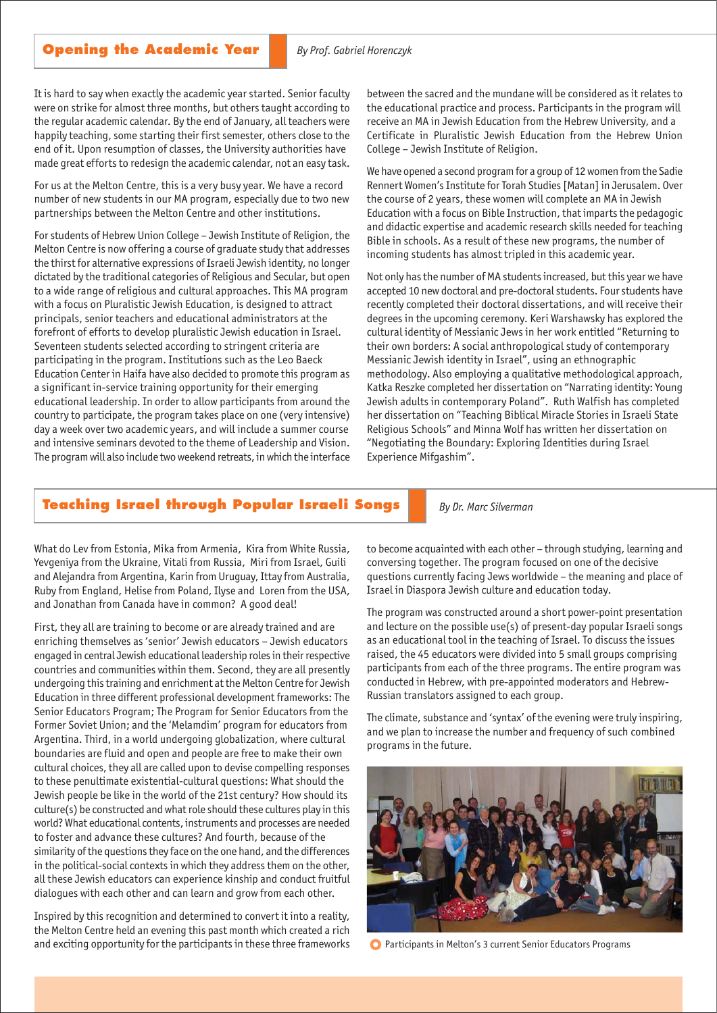It is hard to say when exactly the academic year started. Senior faculty were on strike for almost three months, but others taught according to the regular academic calendar. By the end of January, all teachers were happily teaching, some starting their first semester, others close to the end of it. Upon resumption of classes, the University authorities have made great efforts to redesign the academic calendar, not an easy task.

For us at the Melton Centre, this is a very busy year. We have a record number of new students in our MA program, especially due to two new partnerships between the Melton Centre and other institutions.

For students of Hebrew Union College – Jewish Institute of Religion, the Melton Centre is now offering a course of graduate study that addresses the thirst for alternative expressions of Israeli Jewish identity, no longer dictated by the traditional categories of Religious and Secular, but open to a wide range of religious and cultural approaches. This MA program with a focus on Pluralistic Jewish Education, is designed to attract principals, senior teachers and educational administrators at the forefront of efforts to develop pluralistic Jewish education in Israel. Seventeen students selected according to stringent criteria are participating in the program. Institutions such as the Leo Baeck Education Center in Haifa have also decided to promote this program as a significant in-service training opportunity for their emerging educational leadership. In order to allow participants from around the country to participate, the program takes place on one (very intensive) day a week over two academic years, and will include a summer course and intensive seminars devoted to the theme of Leadership and Vision. The program will also include two weekend retreats, in which the interface

between the sacred and the mundane will be considered as it relates to the educational practice and process. Participants in the program will receive an MA in Jewish Education from the Hebrew University, and a Certificate in Pluralistic Jewish Education from the Hebrew Union College – Jewish Institute of Religion.

We have opened a second program for a group of 12 women from the Sadie Rennert Women's Institute for Torah Studies [Matan] in Jerusalem. Over the course of 2 years, these women will complete an MA in Jewish Education with a focus on Bible Instruction, that imparts the pedagogic and didactic expertise and academic research skills needed for teaching Bible in schools. As a result of these new programs, the number of incoming students has almost tripled in this academic year.

Not only has the number of MA students increased, but this year we have accepted 10 new doctoral and pre-doctoral students. Four students have recently completed their doctoral dissertations, and will receive their degrees in the upcoming ceremony. Keri Warshawsky has explored the cultural identity of Messianic Jews in her work entitled "Returning to their own borders: A social anthropological study of contemporary Messianic Jewish identity in Israel", using an ethnographic methodology. Also employing a qualitative methodological approach, Katka Reszke completed her dissertation on "Narrating identity: Young Jewish adults in contemporary Poland". Ruth Walfish has completed her dissertation on "Teaching Biblical Miracle Stories in Israeli State Religious Schools" and Minna Wolf has written her dissertation on "Negotiating the Boundary: Exploring Identities during Israel Experience Mifgashim".

#### **Teaching Israel through Popular Israeli Songs**

*By Dr. Marc Silverman*

What do Lev from Estonia, Mika from Armenia, Kira from White Russia, Yevgeniya from the Ukraine, Vitali from Russia, Miri from Israel, Guili and Alejandra from Argentina, Karin from Uruguay, Ittay from Australia, Ruby from England, Helise from Poland, Ilyse and Loren from the USA, and Jonathan from Canada have in common? A good deal!

First, they all are training to become or are already trained and are enriching themselves as 'senior' Jewish educators – Jewish educators engaged in central Jewish educational leadership roles in their respective countries and communities within them. Second, they are all presently undergoing this training and enrichment at the Melton Centre for Jewish Education in three different professional development frameworks: The Senior Educators Program; The Program for Senior Educators from the Former Soviet Union; and the 'Melamdim' program for educators from Argentina. Third, in a world undergoing globalization, where cultural boundaries are fluid and open and people are free to make their own cultural choices, they all are called upon to devise compelling responses to these penultimate existential-cultural questions: What should the Jewish people be like in the world of the 21st century? How should its culture(s) be constructed and what role should these cultures play in this world? What educational contents, instruments and processes are needed to foster and advance these cultures? And fourth, because of the similarity of the questions they face on the one hand, and the differences in the political-social contexts in which they address them on the other, all these Jewish educators can experience kinship and conduct fruitful dialogues with each other and can learn and grow from each other.

Inspired by this recognition and determined to convert it into a reality, the Melton Centre held an evening this past month which created a rich and exciting opportunity for the participants in these three frameworks to become acquainted with each other – through studying, learning and conversing together. The program focused on one of the decisive questions currently facing Jews worldwide – the meaning and place of Israel in Diaspora Jewish culture and education today.

The program was constructed around a short power-point presentation and lecture on the possible use(s) of present-day popular Israeli songs as an educational tool in the teaching of Israel. To discuss the issues raised, the 45 educators were divided into 5 small groups comprising participants from each of the three programs. The entire program was conducted in Hebrew, with pre-appointed moderators and Hebrew-Russian translators assigned to each group.

The climate, substance and 'syntax' of the evening were truly inspiring, and we plan to increase the number and frequency of such combined programs in the future.



Participants in Melton's 3 current Senior Educators Programs